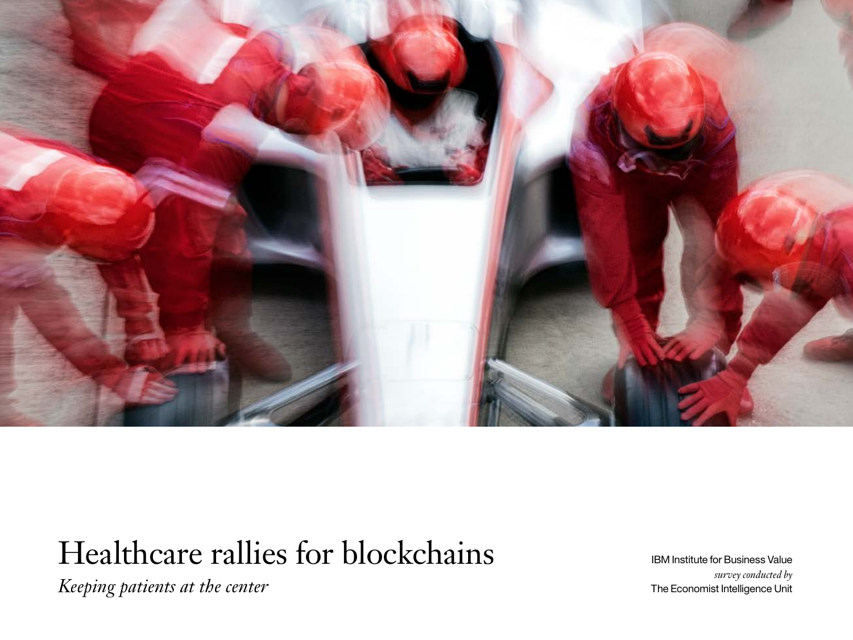

# Healthcare rallies for blockchains

*Keeping patients at the center*

IBM Institute for Business Value *survey conducted by* The Economist Intelligence Unit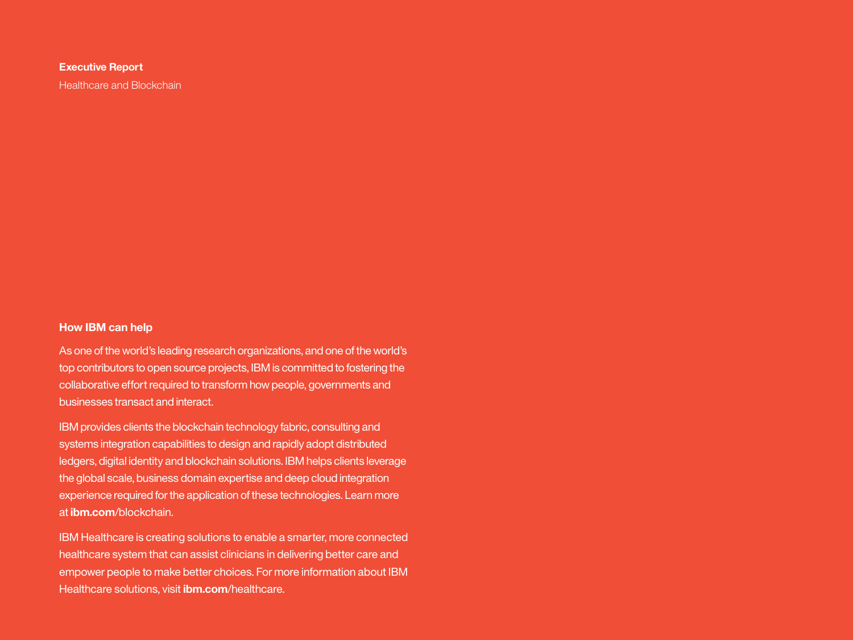#### **Executive Report**

Healthcare and Blockchain

#### **How IBM can help**

As one of the world's leading research organizations, and one of the world's top contributors to open source projects, IBM is committed to fostering the collaborative effort required to transform how people, governments and businesses transact and interact.

IBM provides clients the blockchain technology fabric, consulting and systems integration capabilities to design and rapidly adopt distributed ledgers, digital identity and blockchain solutions. IBM helps clients leverage the global scale, business domain expertise and deep cloud integration experience required for the application of these technologies. Learn more at **ibm.com**[/blockchain.](http://www.ibm.com/blockchain)

IBM Healthcare is creating solutions to enable a smarter, more connected healthcare system that can assist clinicians in delivering better care and empower people to make better choices. For more information about IBM Healthcare solutions, visit **ibm.com**[/healthcare.](www.ibm.com/healthcare)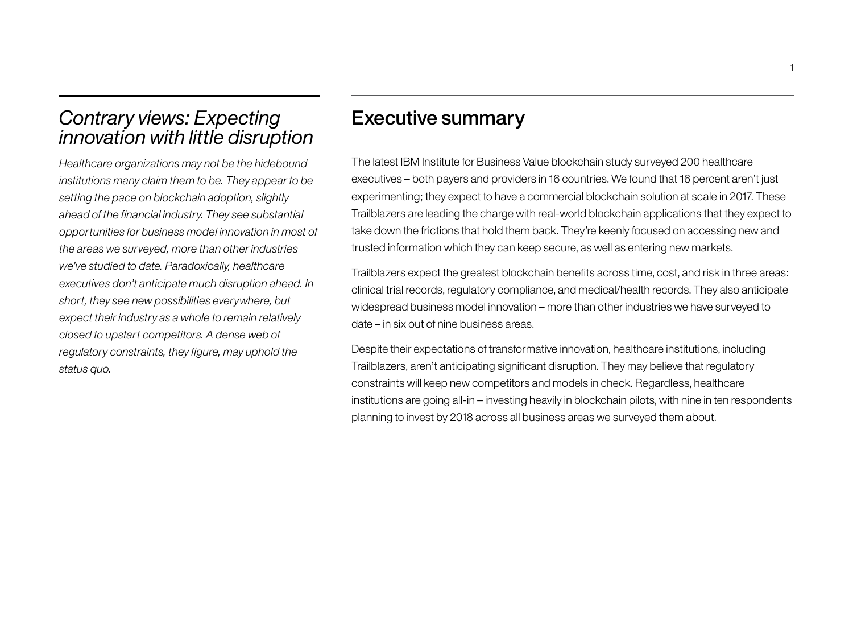# *Contrary views: Expecting innovation with little disruption*

*Healthcare organizations may not be the hidebound institutions many claim them to be. They appear to be setting the pace on blockchain adoption, slightly ahead of the financial industry. They see substantial opportunities for business model innovation in most of the areas we surveyed, more than other industries we've studied to date. Paradoxically, healthcare executives don't anticipate much disruption ahead. In short, they see new possibilities everywhere, but expect their industry as a whole to remain relatively closed to upstart competitors. A dense web of regulatory constraints, they figure, may uphold the status quo.* 

# Executive summary

The latest IBM Institute for Business Value blockchain study surveyed 200 healthcare executives – both payers and providers in 16 countries. We found that 16 percent aren't just experimenting; they expect to have a commercial blockchain solution at scale in 2017. These Trailblazers are leading the charge with real-world blockchain applications that they expect to take down the frictions that hold them back. They're keenly focused on accessing new and trusted information which they can keep secure, as well as entering new markets.

Trailblazers expect the greatest blockchain benefits across time, cost, and risk in three areas: clinical trial records, regulatory compliance, and medical/health records. They also anticipate widespread business model innovation – more than other industries we have surveyed to date – in six out of nine business areas.

Despite their expectations of transformative innovation, healthcare institutions, including Trailblazers, aren't anticipating significant disruption. They may believe that regulatory constraints will keep new competitors and models in check. Regardless, healthcare institutions are going all-in – investing heavily in blockchain pilots, with nine in ten respondents planning to invest by 2018 across all business areas we surveyed them about.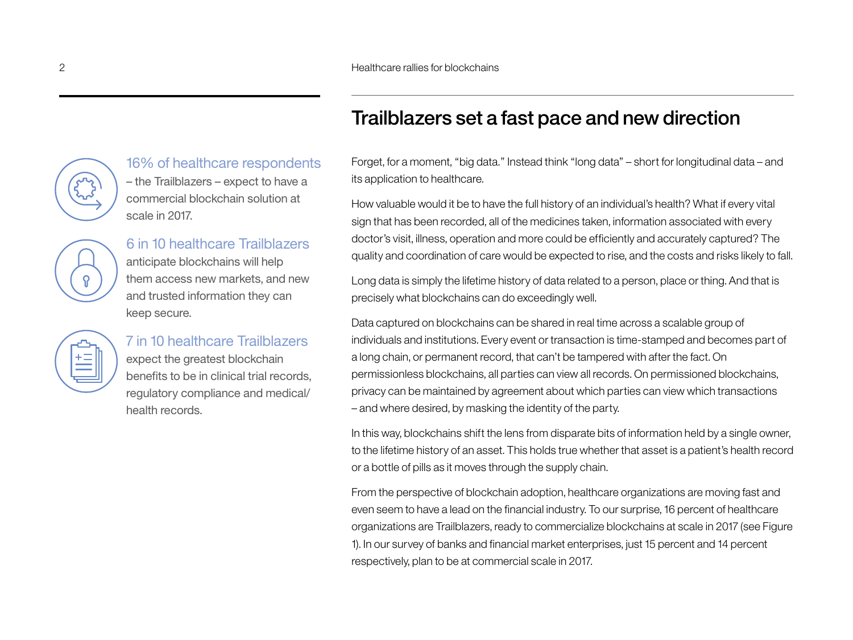# 16% of healthcare respondents – the Trailblazers – expect to have a

commercial blockchain solution at scale in 2017.

6 in 10 healthcare Trailblazers anticipate blockchains will help them access new markets, and new and trusted information they can keep secure.

# 7 in 10 healthcare Trailblazers expect the greatest blockchain

benefits to be in clinical trial records, regulatory compliance and medical/ health records.

# Trailblazers set a fast pace and new direction

Forget, for a moment, "big data." Instead think "long data" – short for longitudinal data – and its application to healthcare.

How valuable would it be to have the full history of an individual's health? What if every vital sign that has been recorded, all of the medicines taken, information associated with every doctor's visit, illness, operation and more could be efficiently and accurately captured? The quality and coordination of care would be expected to rise, and the costs and risks likely to fall.

Long data is simply the lifetime history of data related to a person, place or thing. And that is precisely what blockchains can do exceedingly well.

Data captured on blockchains can be shared in real time across a scalable group of individuals and institutions. Every event or transaction is time-stamped and becomes part of a long chain, or permanent record, that can't be tampered with after the fact. On permissionless blockchains, all parties can view all records. On permissioned blockchains, privacy can be maintained by agreement about which parties can view which transactions – and where desired, by masking the identity of the party.

In this way, blockchains shift the lens from disparate bits of information held by a single owner, to the lifetime history of an asset. This holds true whether that asset is a patient's health record or a bottle of pills as it moves through the supply chain.

From the perspective of blockchain adoption, healthcare organizations are moving fast and even seem to have a lead on the financial industry. To our surprise, 16 percent of healthcare organizations are Trailblazers, ready to commercialize blockchains at scale in 2017 (see Figure 1). In our survey of banks and financial market enterprises, just 15 percent and 14 percent respectively, plan to be at commercial scale in 2017.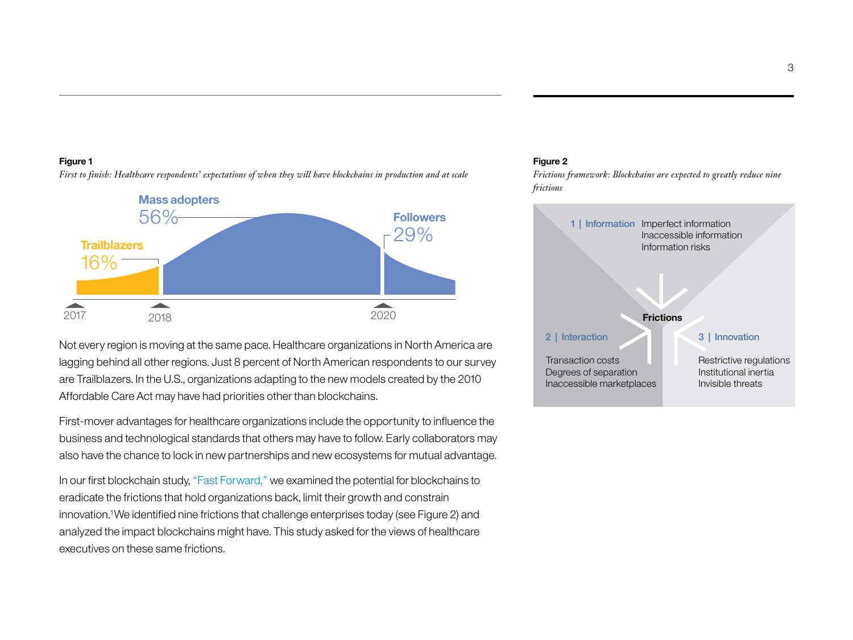#### **Figure 1**

**Mass adopters** 56% **Followers** 29% **Trailblazers** 16%  $\overline{\phantom{a}}$  $\overline{\phantom{a}}$ 2017 2018 2020 **Frictions**

*First to finish: Healthcare respondents' expectations of when they will have blockchains in production and at scale* 

### Not every region is moving at the same pace. Healthcare organizations in North America are lagging behind all other regions. Just 8 percent of North American respondents to our survey are Trailblazers. In the U.S., organizations adapting to the new models created by the 2010 Affordable Care Act may have had priorities other than blockchains.

First-mover advantages for healthcare organizations include the opportunity to influence the business and technological standards that others may have to follow. Early collaborators may also have the chance to lock in new partnerships and new ecosystems for mutual advantage.

In our first blockchain study, ["Fast Forward,"](http://www.ibm.biz/blockchainstudy) we examined the potential for blockchains to eradicate the frictions that hold organizations back, limit their growth and constrain innovation.1 We identified nine frictions that challenge enterprises today (see Figure 2) and analyzed the impact blockchains might have. This study asked for the views of healthcare executives on these same frictions.

#### **Figure 2**

*Frictions framework: Blockchains are expected to greatly reduce nine frictions*

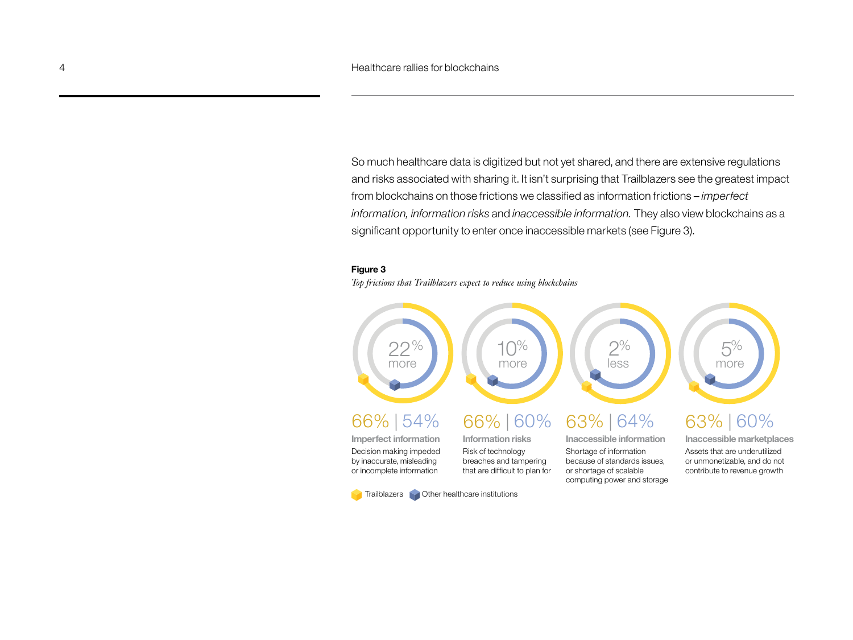So much healthcare data is digitized but not yet shared, and there are extensive regulations and risks associated with sharing it. It isn't surprising that Trailblazers see the greatest impact from blockchains on those frictions we classified as information frictions – *imperfect information, information risks* and *inaccessible information.* They also view blockchains as a significant opportunity to enter once inaccessible markets (see Figure 3).

#### **Figure 3**

*Top frictions that Trailblazers expect to reduce using blockchains*

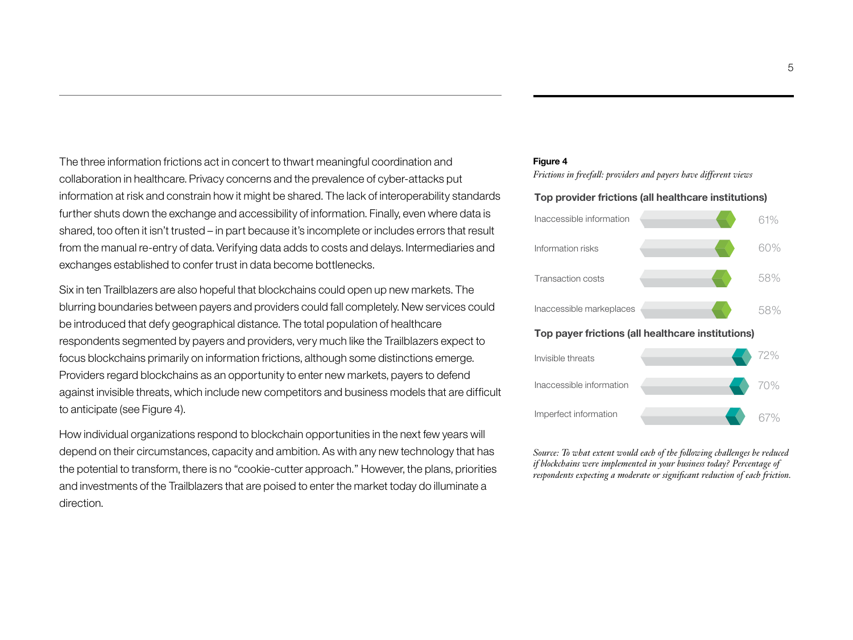The three information frictions act in concert to thwart meaningful coordination and collaboration in healthcare. Privacy concerns and the prevalence of cyber-attacks put information at risk and constrain how it might be shared. The lack of interoperability standards further shuts down the exchange and accessibility of information. Finally, even where data is shared, too often it isn't trusted – in part because it's incomplete or includes errors that result from the manual re-entry of data. Verifying data adds to costs and delays. Intermediaries and exchanges established to confer trust in data become bottlenecks.

Six in ten Trailblazers are also hopeful that blockchains could open up new markets. The blurring boundaries between payers and providers could fall completely. New services could be introduced that defy geographical distance. The total population of healthcare respondents segmented by payers and providers, very much like the Trailblazers expect to focus blockchains primarily on information frictions, although some distinctions emerge. Providers regard blockchains as an opportunity to enter new markets, payers to defend against invisible threats, which include new competitors and business models that are difficult to anticipate (see Figure 4).

How individual organizations respond to blockchain opportunities in the next few years will depend on their circumstances, capacity and ambition. As with any new technology that has the potential to transform, there is no "cookie-cutter approach." However, the plans, priorities and investments of the Trailblazers that are poised to enter the market today do illuminate a direction.

#### **Figure 4**

*Frictions in freefall: providers and payers have different views*

#### **Top provider frictions (all healthcare institutions)**





*Source: To what extent would each of the following challenges be reduced if blockchains were implemented in your business today? Percentage of respondents expecting a moderate or significant reduction of each friction.*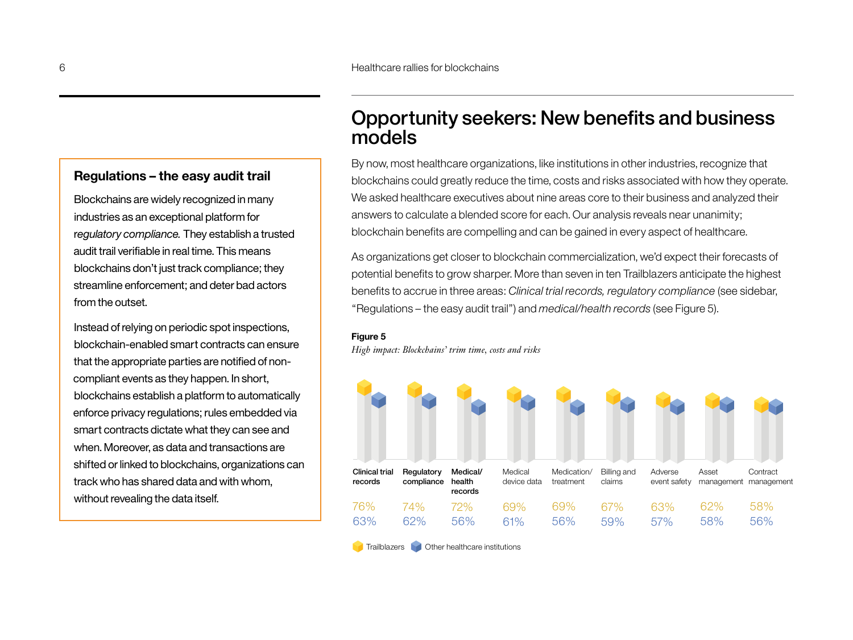#### **Regulations – the easy audit trail**

Blockchains are widely recognized in many industries as an exceptional platform for r*egulatory compliance.* They establish a trusted audit trail verifiable in real time. This means blockchains don't just track compliance; they streamline enforcement; and deter bad actors from the outset.

Instead of relying on periodic spot inspections, blockchain-enabled smart contracts can ensure that the appropriate parties are notified of noncompliant events as they happen. In short, blockchains establish a platform to automatically enforce privacy regulations; rules embedded via smart contracts dictate what they can see and when. Moreover, as data and transactions are shifted or linked to blockchains, organizations can track who has shared data and with whom, without revealing the data itself.

# Opportunity seekers: New benefits and business models

By now, most healthcare organizations, like institutions in other industries, recognize that blockchains could greatly reduce the time, costs and risks associated with how they operate. We asked healthcare executives about nine areas core to their business and analyzed their answers to calculate a blended score for each. Our analysis reveals near unanimity; blockchain benefits are compelling and can be gained in every aspect of healthcare.

As organizations get closer to blockchain commercialization, we'd expect their forecasts of potential benefits to grow sharper. More than seven in ten Trailblazers anticipate the highest benefits to accrue in three areas: *Clinical trial records, regulatory compliance* (see sidebar, "Regulations – the easy audit trail") and *medical/health records* (see Figure 5).

#### **Figure 5**

*High impact: Blockchains' trim time, costs and risks*



**Trailblazers** Other healthcare institutions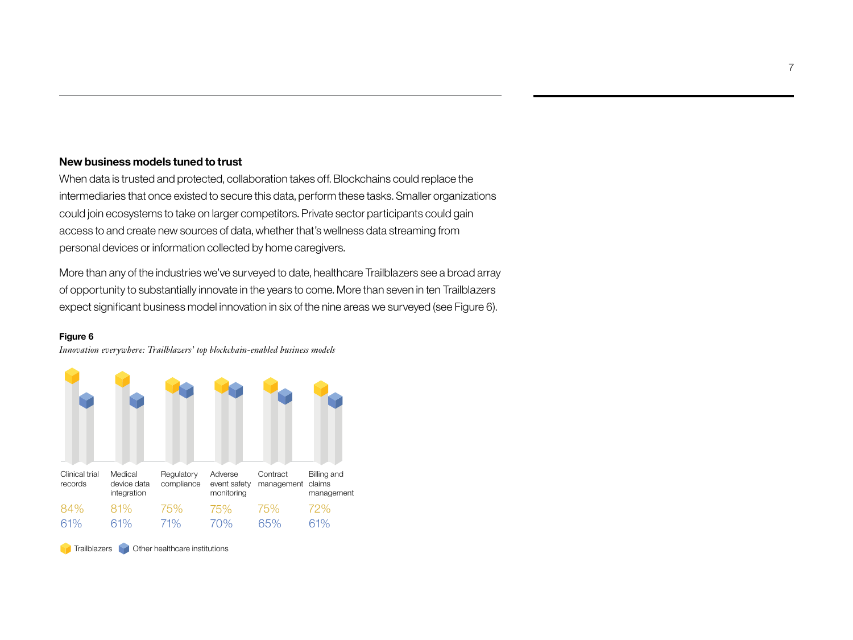#### **New business models tuned to trust**

When data is trusted and protected, collaboration takes off. Blockchains could replace the intermediaries that once existed to secure this data, perform these tasks. Smaller organizations could join ecosystems to take on larger competitors. Private sector participants could gain access to and create new sources of data, whether that's wellness data streaming from personal devices or information collected by home caregivers.

More than any of the industries we've surveyed to date, healthcare Trailblazers see a broad array of opportunity to substantially innovate in the years to come. More than seven in ten Trailblazers expect significant business model innovation in six of the nine areas we surveyed (see Figure 6).

#### **Figure 6**

*Innovation everywhere: Trailblazers' top blockchain-enabled business models*



**Trailblazers Other healthcare institutions**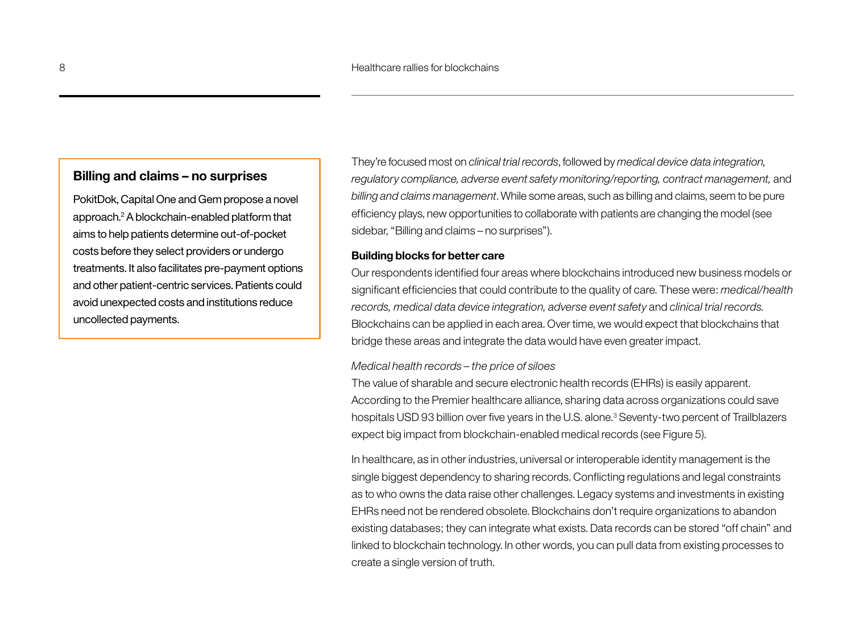#### **Billing and claims – no surprises**

PokitDok, Capital One and Gem propose a novel approach.2 A blockchain-enabled platform that aims to help patients determine out-of-pocket costs before they select providers or undergo treatments. It also facilitates pre-payment options and other patient-centric services. Patients could avoid unexpected costs and institutions reduce uncollected payments.

They're focused most on *clinical trial records*, followed by *medical device data integration, regulatory compliance, adverse event safety monitoring/reporting, contract management,* and *billing and claims management*. While some areas, such as billing and claims, seem to be pure efficiency plays, new opportunities to collaborate with patients are changing the model (see sidebar, "Billing and claims – no surprises").

#### **Building blocks for better care**

Our respondents identified four areas where blockchains introduced new business models or significant efficiencies that could contribute to the quality of care. These were: *medical/health records, medical data device integration, adverse event safety* and *clinical trial records.* Blockchains can be applied in each area. Over time, we would expect that blockchains that bridge these areas and integrate the data would have even greater impact.

#### *Medical health records – the price of siloes*

The value of sharable and secure electronic health records (EHRs) is easily apparent. According to the Premier healthcare alliance, sharing data across organizations could save hospitals USD 93 billion over five years in the U.S. alone.<sup>3</sup> Seventy-two percent of Trailblazers expect big impact from blockchain-enabled medical records (see Figure 5).

In healthcare, as in other industries, universal or interoperable identity management is the single biggest dependency to sharing records. Conflicting regulations and legal constraints as to who owns the data raise other challenges. Legacy systems and investments in existing EHRs need not be rendered obsolete. Blockchains don't require organizations to abandon existing databases; they can integrate what exists. Data records can be stored "off chain" and linked to blockchain technology. In other words, you can pull data from existing processes to create a single version of truth.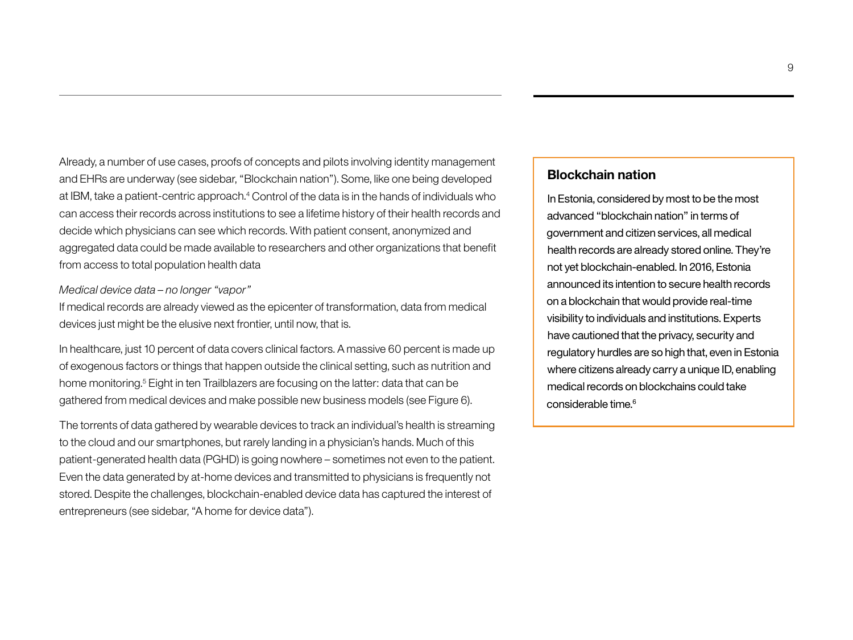Already, a number of use cases, proofs of concepts and pilots involving identity management and EHRs are underway (see sidebar, "Blockchain nation"). Some, like one being developed at IBM, take a patient-centric approach.<sup>4</sup> Control of the data is in the hands of individuals who can access their records across institutions to see a lifetime history of their health records and decide which physicians can see which records. With patient consent, anonymized and aggregated data could be made available to researchers and other organizations that benefit from access to total population health data

#### *Medical device data – no longer "vapor"*

If medical records are already viewed as the epicenter of transformation, data from medical devices just might be the elusive next frontier, until now, that is.

In healthcare, just 10 percent of data covers clinical factors. A massive 60 percent is made up of exogenous factors or things that happen outside the clinical setting, such as nutrition and home monitoring.<sup>5</sup> Eight in ten Trailblazers are focusing on the latter: data that can be gathered from medical devices and make possible new business models (see Figure 6).

The torrents of data gathered by wearable devices to track an individual's health is streaming to the cloud and our smartphones, but rarely landing in a physician's hands. Much of this patient-generated health data (PGHD) is going nowhere – sometimes not even to the patient. Even the data generated by at-home devices and transmitted to physicians is frequently not stored. Despite the challenges, blockchain-enabled device data has captured the interest of entrepreneurs (see sidebar, "A home for device data").

#### **Blockchain nation**

In Estonia, considered by most to be the most advanced "blockchain nation" in terms of government and citizen services, all medical health records are already stored online. They're not yet blockchain-enabled. In 2016, Estonia announced its intention to secure health records on a blockchain that would provide real-time visibility to individuals and institutions. Experts have cautioned that the privacy, security and regulatory hurdles are so high that, even in Estonia where citizens already carry a unique ID, enabling medical records on blockchains could take considerable time.<sup>6</sup>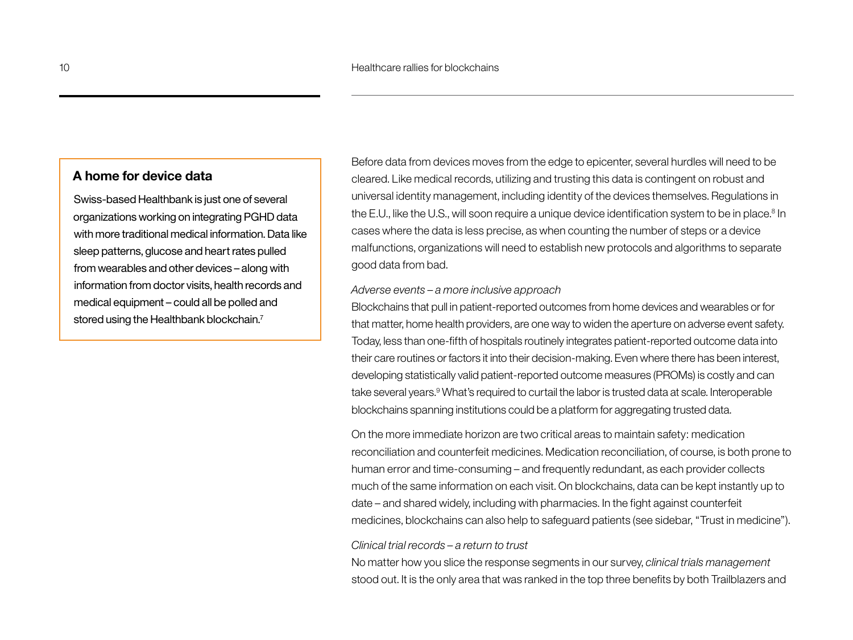#### **A home for device data**

Swiss-based Healthbank is just one of several organizations working on integrating PGHD data with more traditional medical information. Data like sleep patterns, glucose and heart rates pulled from wearables and other devices – along with information from doctor visits, health records and medical equipment – could all be polled and stored using the Healthbank blockchain.<sup>7</sup>

Before data from devices moves from the edge to epicenter, several hurdles will need to be cleared. Like medical records, utilizing and trusting this data is contingent on robust and universal identity management, including identity of the devices themselves. Regulations in the E.U., like the U.S., will soon require a unique device identification system to be in place.<sup>8</sup> In cases where the data is less precise, as when counting the number of steps or a device malfunctions, organizations will need to establish new protocols and algorithms to separate good data from bad.

#### *Adverse events – a more inclusive approach*

Blockchains that pull in patient-reported outcomes from home devices and wearables or for that matter, home health providers, are one way to widen the aperture on adverse event safety. Today, less than one-fifth of hospitals routinely integrates patient-reported outcome data into their care routines or factors it into their decision-making. Even where there has been interest, developing statistically valid patient-reported outcome measures (PROMs) is costly and can take several years.<sup>9</sup> What's required to curtail the labor is trusted data at scale. Interoperable blockchains spanning institutions could be a platform for aggregating trusted data.

On the more immediate horizon are two critical areas to maintain safety: medication reconciliation and counterfeit medicines. Medication reconciliation, of course, is both prone to human error and time-consuming – and frequently redundant, as each provider collects much of the same information on each visit. On blockchains, data can be kept instantly up to date – and shared widely, including with pharmacies. In the fight against counterfeit medicines, blockchains can also help to safeguard patients (see sidebar, "Trust in medicine").

#### *Clinical trial records – a return to trust*

No matter how you slice the response segments in our survey, *clinical trials management*  stood out. It is the only area that was ranked in the top three benefits by both Trailblazers and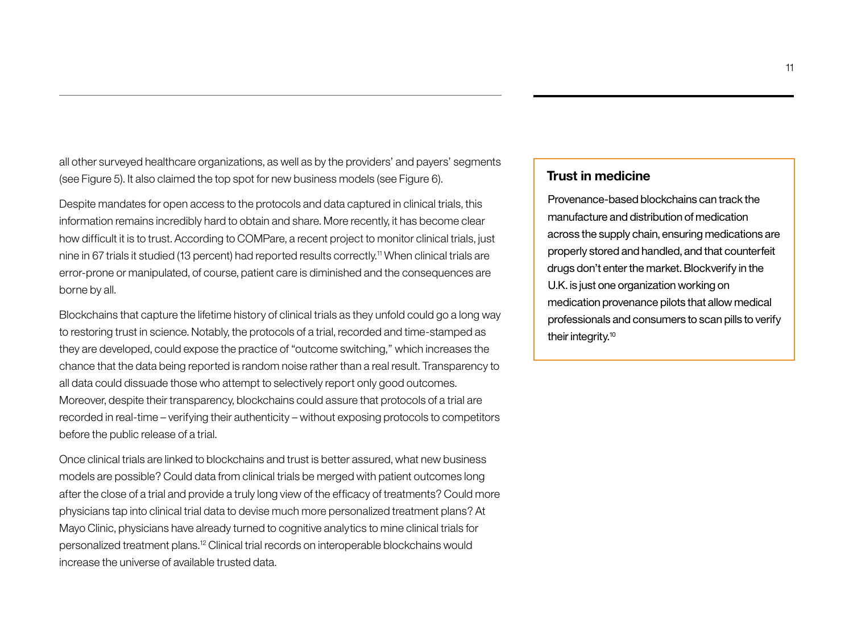all other surveyed healthcare organizations, as well as by the providers' and payers' segments (see Figure 5). It also claimed the top spot for new business models (see Figure 6).

Despite mandates for open access to the protocols and data captured in clinical trials, this information remains incredibly hard to obtain and share. More recently, it has become clear how difficult it is to trust. According to COMPare, a recent project to monitor clinical trials, just nine in 67 trials it studied (13 percent) had reported results correctly.<sup>11</sup> When clinical trials are error-prone or manipulated, of course, patient care is diminished and the consequences are borne by all.

Blockchains that capture the lifetime history of clinical trials as they unfold could go a long way to restoring trust in science. Notably, the protocols of a trial, recorded and time-stamped as they are developed, could expose the practice of "outcome switching," which increases the chance that the data being reported is random noise rather than a real result. Transparency to all data could dissuade those who attempt to selectively report only good outcomes. Moreover, despite their transparency, blockchains could assure that protocols of a trial are recorded in real-time – verifying their authenticity – without exposing protocols to competitors before the public release of a trial.

Once clinical trials are linked to blockchains and trust is better assured, what new business models are possible? Could data from clinical trials be merged with patient outcomes long after the close of a trial and provide a truly long view of the efficacy of treatments? Could more physicians tap into clinical trial data to devise much more personalized treatment plans? At Mayo Clinic, physicians have already turned to cognitive analytics to mine clinical trials for personalized treatment plans.12 Clinical trial records on interoperable blockchains would increase the universe of available trusted data.

#### **Trust in medicine**

Provenance-based blockchains can track the manufacture and distribution of medication across the supply chain, ensuring medications are properly stored and handled, and that counterfeit drugs don't enter the market. Blockverify in the U.K. is just one organization working on medication provenance pilots that allow medical professionals and consumers to scan pills to verify their integrity.<sup>10</sup>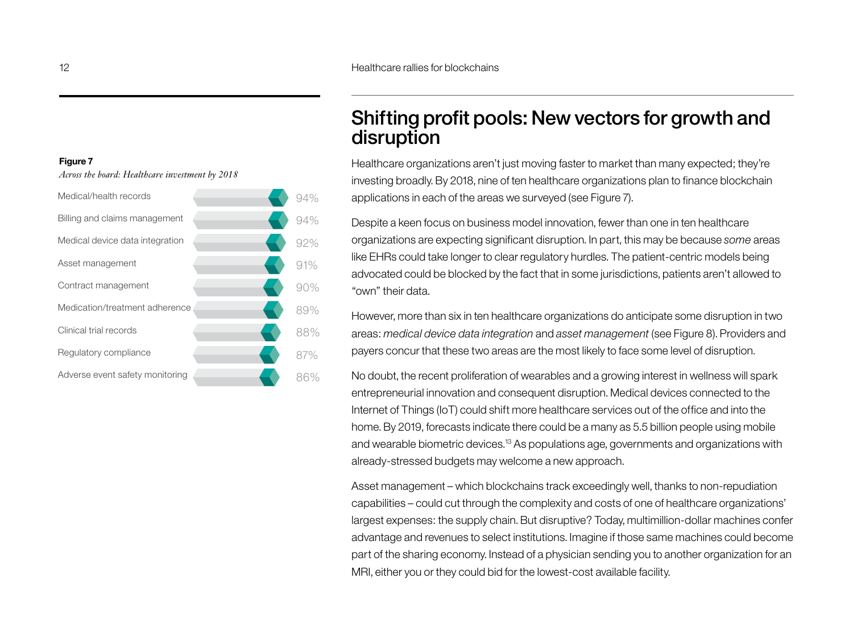#### **Figure 7**

*Across the board: Healthcare investment by 2018*



# Shifting profit pools: New vectors for growth and disruption

Healthcare organizations aren't just moving faster to market than many expected; they're investing broadly. By 2018, nine of ten healthcare organizations plan to finance blockchain applications in each of the areas we surveyed (see Figure 7).

Despite a keen focus on business model innovation, fewer than one in ten healthcare organizations are expecting significant disruption. In part, this may be because *some* areas like EHRs could take longer to clear regulatory hurdles. The patient-centric models being advocated could be blocked by the fact that in some jurisdictions, patients aren't allowed to "own" their data.

However, more than six in ten healthcare organizations do anticipate some disruption in two areas: *medical device data integration* and *asset management* (see Figure 8). Providers and payers concur that these two areas are the most likely to face some level of disruption.

No doubt, the recent proliferation of wearables and a growing interest in wellness will spark entrepreneurial innovation and consequent disruption. Medical devices connected to the Internet of Things (IoT) could shift more healthcare services out of the office and into the home. By 2019, forecasts indicate there could be a many as 5.5 billion people using mobile and wearable biometric devices.13 As populations age, governments and organizations with already-stressed budgets may welcome a new approach.

Asset management – which blockchains track exceedingly well, thanks to non-repudiation capabilities – could cut through the complexity and costs of one of healthcare organizations' largest expenses: the supply chain. But disruptive? Today, multimillion-dollar machines confer advantage and revenues to select institutions. Imagine if those same machines could become part of the sharing economy. Instead of a physician sending you to another organization for an MRI, either you or they could bid for the lowest-cost available facility.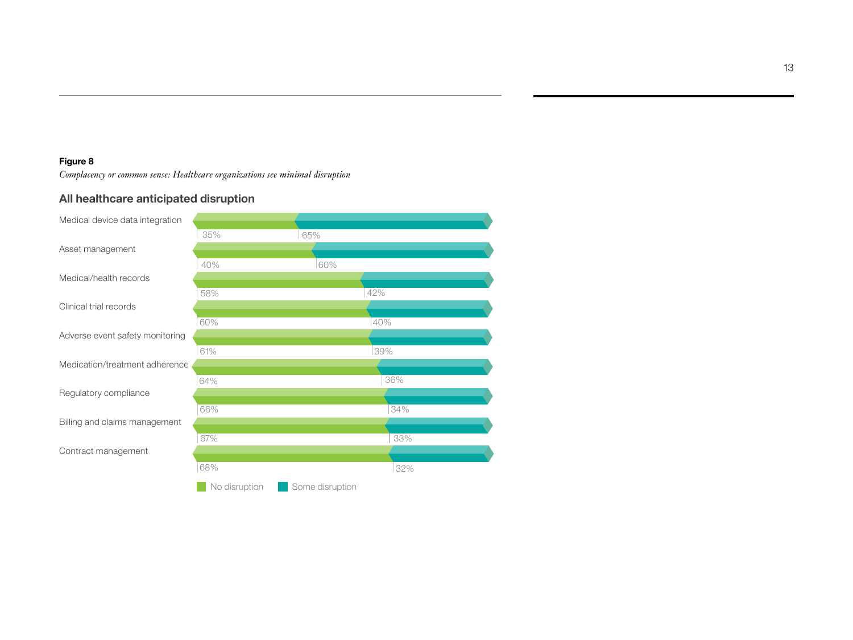#### **Figure 8**

*Complacency or common sense: Healthcare organizations see minimal disruption* 

#### **All healthcare anticipated disruption**

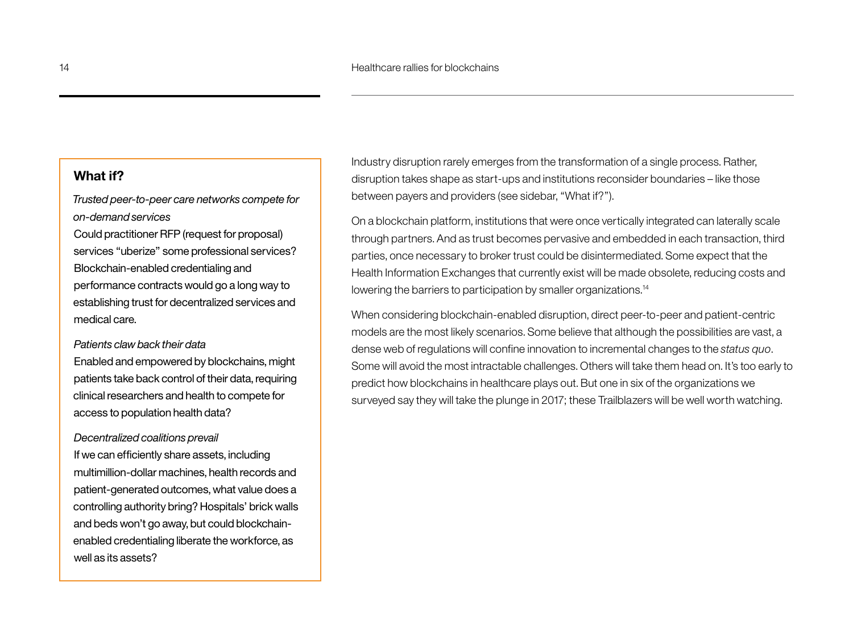#### **What if?**

*Trusted peer-to-peer care networks compete for on-demand services* Could practitioner RFP (request for proposal)

services "uberize" some professional services? Blockchain-enabled credentialing and performance contracts would go a long way to establishing trust for decentralized services and medical care.

#### *Patients claw back their data*

Enabled and empowered by blockchains, might patients take back control of their data, requiring clinical researchers and health to compete for access to population health data?

#### *Decentralized coalitions prevail*

If we can efficiently share assets, including multimillion-dollar machines, health records and patient-generated outcomes, what value does a controlling authority bring? Hospitals' brick walls and beds won't go away, but could blockchainenabled credentialing liberate the workforce, as well as its assets?

Industry disruption rarely emerges from the transformation of a single process. Rather, disruption takes shape as start-ups and institutions reconsider boundaries – like those between payers and providers (see sidebar, "What if?").

On a blockchain platform, institutions that were once vertically integrated can laterally scale through partners. And as trust becomes pervasive and embedded in each transaction, third parties, once necessary to broker trust could be disintermediated. Some expect that the Health Information Exchanges that currently exist will be made obsolete, reducing costs and lowering the barriers to participation by smaller organizations.<sup>14</sup>

When considering blockchain-enabled disruption, direct peer-to-peer and patient-centric models are the most likely scenarios. Some believe that although the possibilities are vast, a dense web of regulations will confine innovation to incremental changes to the *status quo*. Some will avoid the most intractable challenges. Others will take them head on. It's too early to predict how blockchains in healthcare plays out. But one in six of the organizations we surveyed say they will take the plunge in 2017; these Trailblazers will be well worth watching.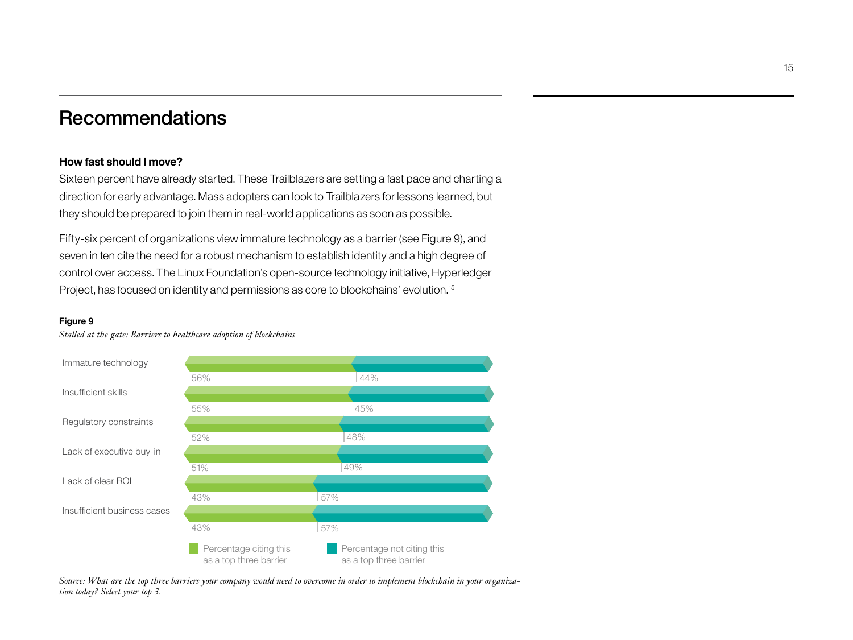# Recommendations

#### **How fast should I move?**

Sixteen percent have already started. These Trailblazers are setting a fast pace and charting a direction for early advantage. Mass adopters can look to Trailblazers for lessons learned, but they should be prepared to join them in real-world applications as soon as possible.

Fifty-six percent of organizations view immature technology as a barrier (see Figure 9), and seven in ten cite the need for a robust mechanism to establish identity and a high degree of control over access. The Linux Foundation's open-source technology initiative, Hyperledger Project, has focused on identity and permissions as core to blockchains' evolution.15

#### **Figure 9**



*Stalled at the gate: Barriers to healthcare adoption of blockchains* 

*Source: What are the top three barriers your company would need to overcome in order to implement blockchain in your organization today? Select your top 3.*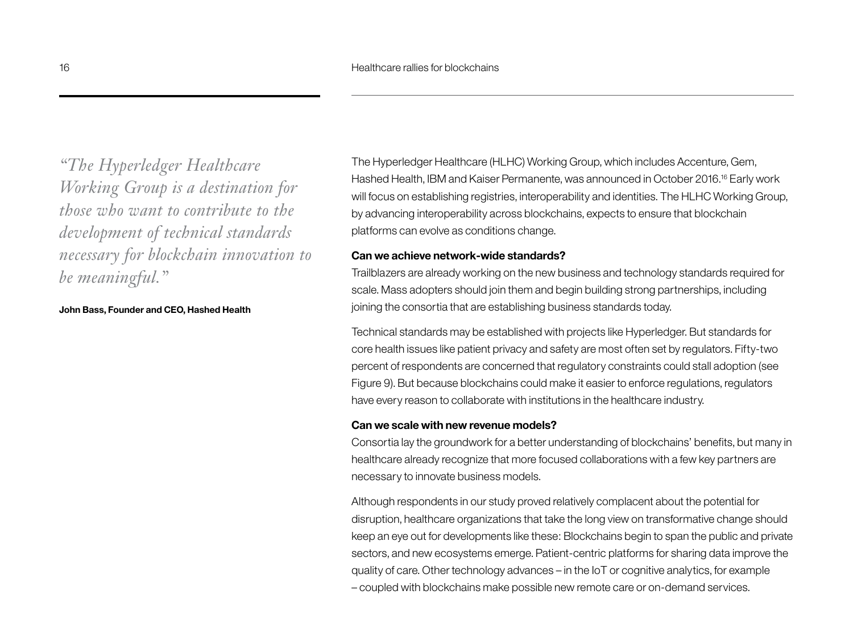*"The Hyperledger Healthcare Working Group is a destination for those who want to contribute to the development of technical standards necessary for blockchain innovation to be meaningful."* 

#### **John Bass, Founder and CEO, Hashed Health**

The Hyperledger Healthcare (HLHC) Working Group, which includes Accenture, Gem, Hashed Health, IBM and Kaiser Permanente, was announced in October 2016.<sup>16</sup> Early work will focus on establishing registries, interoperability and identities. The HLHC Working Group, by advancing interoperability across blockchains, expects to ensure that blockchain platforms can evolve as conditions change.

#### **Can we achieve network-wide standards?**

Trailblazers are already working on the new business and technology standards required for scale. Mass adopters should join them and begin building strong partnerships, including joining the consortia that are establishing business standards today.

Technical standards may be established with projects like Hyperledger. But standards for core health issues like patient privacy and safety are most often set by regulators. Fifty-two percent of respondents are concerned that regulatory constraints could stall adoption (see Figure 9). But because blockchains could make it easier to enforce regulations, regulators have every reason to collaborate with institutions in the healthcare industry.

#### **Can we scale with new revenue models?**

Consortia lay the groundwork for a better understanding of blockchains' benefits, but many in healthcare already recognize that more focused collaborations with a few key partners are necessary to innovate business models.

Although respondents in our study proved relatively complacent about the potential for disruption, healthcare organizations that take the long view on transformative change should keep an eye out for developments like these: Blockchains begin to span the public and private sectors, and new ecosystems emerge. Patient-centric platforms for sharing data improve the quality of care. Other technology advances – in the IoT or cognitive analytics, for example – coupled with blockchains make possible new remote care or on-demand services.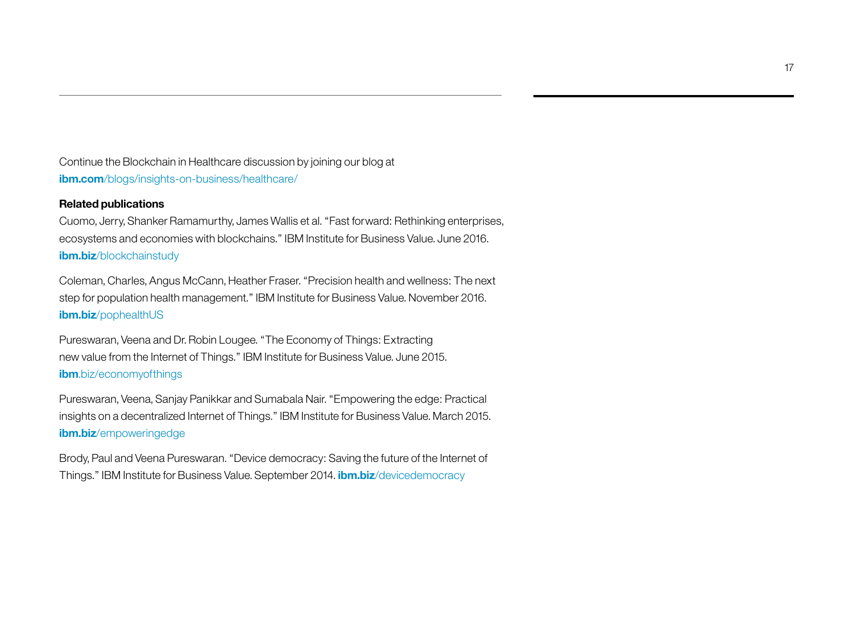Continue the Blockchain in Healthcare discussion by joining our blog at **ibm.com**[/blogs/insights](http://www.ibm.com/blogs/insights-on-business/healthcare/)-on-business/healthcare/

#### **Related publications**

Cuomo, Jerry, Shanker Ramamurthy, James Wallis et al. "Fast forward: Rethinking enterprises, ecosystems and economies with blockchains." IBM Institute for Business Value. June 2016. **ibm.biz**[/blockchainstudy](www.ibm.biz/blockchainstudy)

Coleman, Charles, Angus McCann, Heather Fraser. "Precision health and wellness: The next step for population health management." IBM Institute for Business Value. November 2016. **ibm.biz**[/pophealthUS](www.ibm.biz/pophealthUS)

Pureswaran, Veena and Dr. Robin Lougee. "The Economy of Things: Extracting new value from the Internet of Things." IBM Institute for Business Value. June 2015. **ibm**[.biz/economyofthings](www.ibm.biz/economyofthings)

Pureswaran, Veena, Sanjay Panikkar and Sumabala Nair. "Empowering the edge: Practical insights on a decentralized Internet of Things." IBM Institute for Business Value. March 2015. **ibm.biz**[/empoweringedge](www.ibm.biz/empoweringedge)

Brody, Paul and Veena Pureswaran. "Device democracy: Saving the future of the Internet of Things." IBM Institute for Business Value. September 2014. **ibm.biz**[/devicedemocracy](www.ibm.biz/devicedemocracy)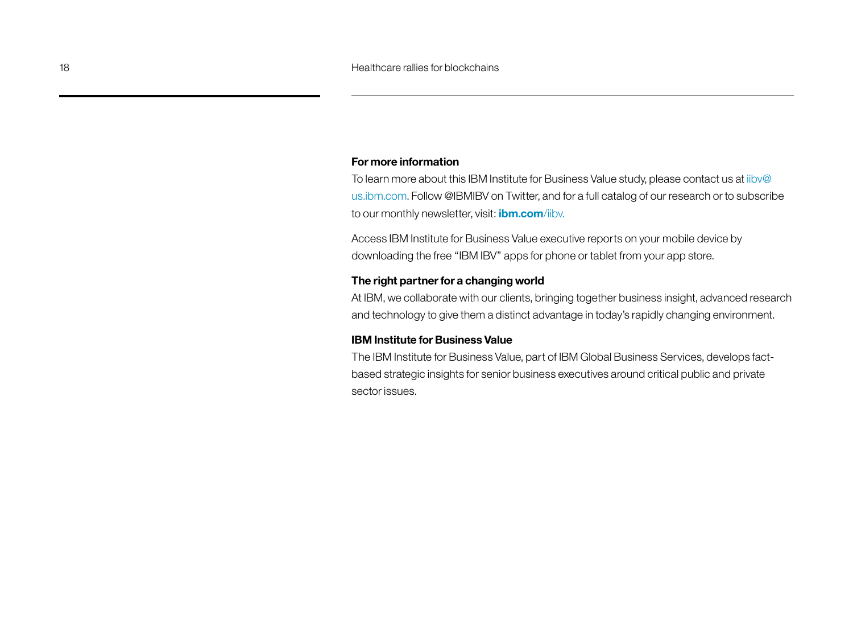#### **For more information**

To learn more about this IBM Institute for Business Value study, please contact us at [iibv@](mailto:iibv@us.ibm.com) [us.ibm.com](mailto:iibv@us.ibm.com). Follow @IBMIBV on Twitter, and for a full catalog of our research or to subscribe to our monthly newsletter, visit: **[ibm.com](http://www.ibm.com/iibv)**/iibv.

Access IBM Institute for Business Value executive reports on your mobile device by downloading the free "IBM IBV" apps for phone or tablet from your app store.

#### **The right partner for a changing world**

At IBM, we collaborate with our clients, bringing together business insight, advanced research and technology to give them a distinct advantage in today's rapidly changing environment.

#### **IBM Institute for Business Value**

The IBM Institute for Business Value, part of IBM Global Business Services, develops factbased strategic insights for senior business executives around critical public and private sector issues.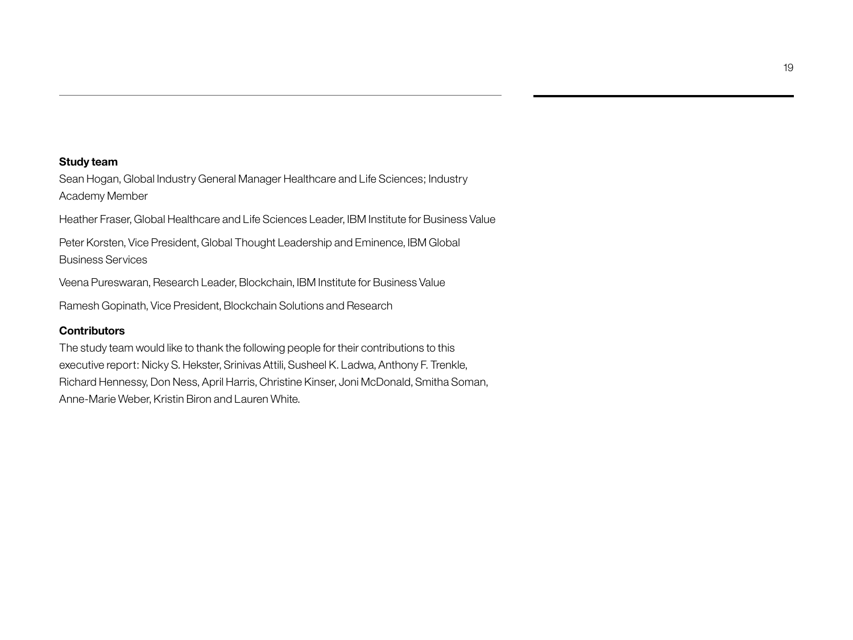#### **Study team**

Sean Hogan, Global Industry General Manager Healthcare and Life Sciences; Industry Academy Member

Heather Fraser, Global Healthcare and Life Sciences Leader, IBM Institute for Business Value

Peter Korsten, Vice President, Global Thought Leadership and Eminence, IBM Global Business Services

Veena Pureswaran, Research Leader, Blockchain, IBM Institute for Business Value

Ramesh Gopinath, Vice President, Blockchain Solutions and Research

#### **Contributors**

The study team would like to thank the following people for their contributions to this executive report: Nicky S. Hekster, Srinivas Attili, Susheel K. Ladwa, Anthony F. Trenkle, Richard Hennessy, Don Ness, April Harris, Christine Kinser, Joni McDonald, Smitha Soman, Anne-Marie Weber, Kristin Biron and Lauren White.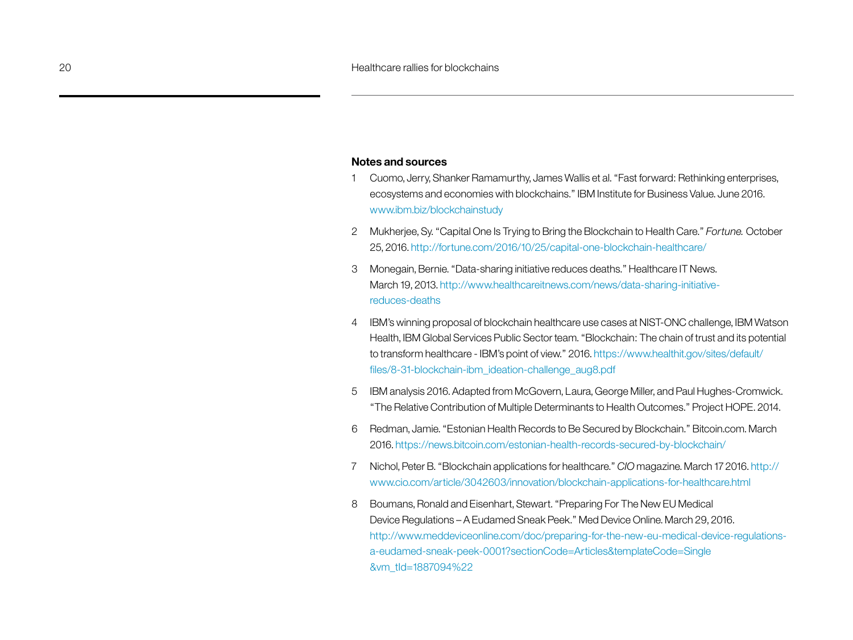#### **Notes and sources**

- 1 Cuomo, Jerry, Shanker Ramamurthy, James Wallis et al. "Fast forward: Rethinking enterprises, ecosystems and economies with blockchains." IBM Institute for Business Value. June 2016. <www.ibm.biz/blockchainstudy>
- 2 Mukherjee, Sy. "Capital One Is Trying to Bring the Blockchain to Health Care." *Fortune.* October 25, 2016. [http://fortune.com/2016/10/25/capital-](http://fortune.com/2016/10/25/capital)one-blockchain-healthcare/
- 3 Monegain, Bernie. "Data-sharing initiative reduces deaths." Healthcare IT News. March 19, 2013. [http://www.healthcareitnews.com/news/data-sharing-initiative](http://www.healthcareitnews.com/news/data-sharing-initiative-reduces-deaths)[reduces-deaths](http://www.healthcareitnews.com/news/data-sharing-initiative-reduces-deaths)
- 4 IBM's winning proposal of blockchain healthcare use cases at NIST-ONC challenge, IBM Watson Health, IBM Global Services Public Sector team. "Blockchain: The chain of trust and its potential to transform healthcare - IBM's point of view." 2016. [https://www.healthit.gov/sites/default/](https://www.healthit.gov/sites/default/files/8-31-blockchain-ibm_ideation-challenge_aug8.pdf) [files/8-31-blockchain-ibm\\_ideation-challenge\\_aug8.pdf](https://www.healthit.gov/sites/default/files/8-31-blockchain-ibm_ideation-challenge_aug8.pdf)
- 5 IBM analysis 2016. Adapted from McGovern, Laura, George Miller, and Paul Hughes-Cromwick. "The Relative Contribution of Multiple Determinants to Health Outcomes." Project HOPE. 2014.
- 6 Redman, Jamie. "Estonian Health Records to Be Secured by Blockchain." [Bitcoin.com.](Bitcoin.com) March 2016.<https://news.bitcoin.com/estonian>-health-records-secured-by-blockchain/
- 7 Nichol, Peter B. "Blockchain applications for healthcare." *CIO* magazine. March 17 2016. [http://](http://www.cio.com/article/3042603/innovation/blockchain-applications-for-healthcare.html) [www.cio.com/article/3042603/innovation/blockchain-applications-for-healthcare.html](http://www.cio.com/article/3042603/innovation/blockchain-applications-for-healthcare.html)
- 8 Boumans, Ronald and Eisenhart, Stewart. "Preparing For The New EU Medical Device Regulations – A Eudamed Sneak Peek." Med Device Online. March 29, 2016. [http://www.meddeviceonline.com/doc/preparing-for-the-new-eu-medical-device-regulations](http://www.meddeviceonline.com/doc/preparing-for-the-new-eu-medical-device-regulations-a-eudamed-sneak-peek-0001?sectionCode=Articles&templateCode=Single&vm_tId=1887094%22)[a-eudamed-sneak-peek-0001?sectionCode=Articles&templateCode=Single](http://www.meddeviceonline.com/doc/preparing-for-the-new-eu-medical-device-regulations-a-eudamed-sneak-peek-0001?sectionCode=Articles&templateCode=Single&vm_tId=1887094%22) [&vm\\_tId=1887094%22](http://www.meddeviceonline.com/doc/preparing-for-the-new-eu-medical-device-regulations-a-eudamed-sneak-peek-0001?sectionCode=Articles&templateCode=Single&vm_tId=1887094%22)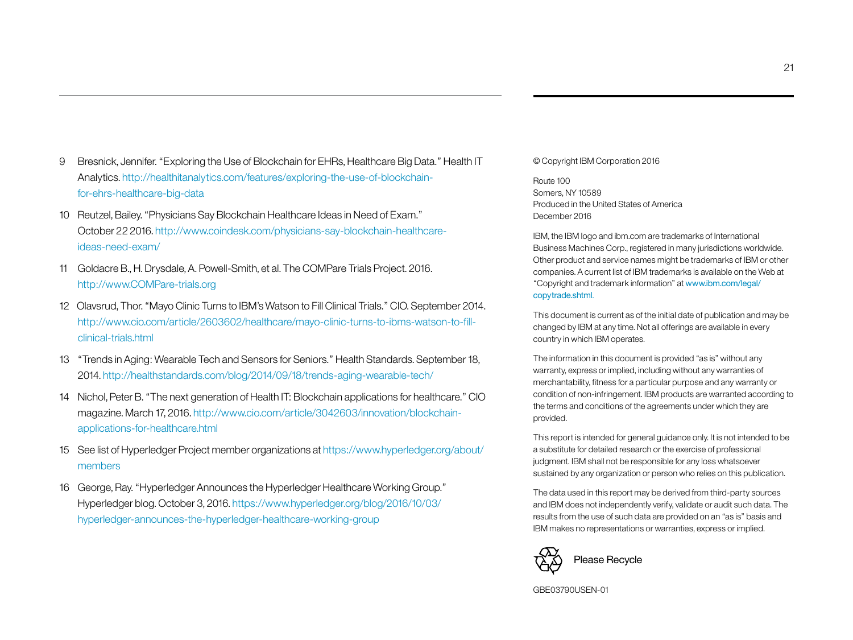- 9 Bresnick, Jennifer. "Exploring the Use of Blockchain for EHRs, Healthcare Big Data." Health IT Analytics. [http://healthitanalytics.com/features/exploring](http://healthitanalytics.com/features/exploring-the-use-of-blockchain-for-ehrs-healthcare-big-data)-the-use-of-blockchainfor-ehrs-healthcare-big-data
- 10 Reutzel, Bailey. "Physicians Say Blockchain Healthcare Ideas in Need of Exam." October 22 2016. [http://www.coindesk.com/physicians-](http://www.coindesk.com/physicians-say-blockchain-healthcare-ideas-need-exam/)say-blockchain-healthcareideas-need-exam/
- 11 Goldacre B., H. Drysdale, A. Powell-Smith, et al. The COMPare Trials Project. 2016. <http://www.COMPare-trials.org>
- 12 Olavsrud, Thor. "Mayo Clinic Turns to IBM's Watson to Fill Clinical Trials." CIO. September 2014. [http://www.cio.com/article/2603602/healthcare/mayo-clinic-turns-to-ibms-watson-to-fill](http://www.cio.com/article/2603602/healthcare/mayo-clinic-turns-to-ibms-watson-to-fill-clinical-trials.html)[clinical-trials.html](http://www.cio.com/article/2603602/healthcare/mayo-clinic-turns-to-ibms-watson-to-fill-clinical-trials.html)
- 13 "Trends in Aging: Wearable Tech and Sensors for Seniors." Health Standards. September 18, 2014.<http://healthstandards.com/blog/2014/09/18/trends>-aging-wearable-tech/
- 14 Nichol, Peter B. "The next generation of Health IT: Blockchain applications for healthcare." CIO magazine. March 17, 2016. [http://www.cio.com/article/3042603/innovation/blockchain](http://www.cio.com/article/3042603/innovation/blockchain-applications-for-healthcare.html)[applications-for-healthcare.html](http://www.cio.com/article/3042603/innovation/blockchain-applications-for-healthcare.html)
- 15 See list of Hyperledger Project member organizations at [https://www.hyperledger.org/about/](https://www.hyperledger.org/about/members) [members](https://www.hyperledger.org/about/members)
- 16 George, Ray. "Hyperledger Announces the Hyperledger Healthcare Working Group." Hyperledger blog. October 3, 2016. [https://www.hyperledger.org/blog/2016/10/03/](https://www.hyperledger.org/blog/2016/10/03/hyperledger) [hyperledger](https://www.hyperledger.org/blog/2016/10/03/hyperledger)-announces-the-hyperledger-healthcare-working-group

© Copyright IBM Corporation 2016

Route 100 Somers, NY 10589 Produced in the United States of America December 2016

IBM, the IBM logo and ibm.com are trademarks of International Business Machines Corp., registered in many jurisdictions worldwide. Other product and service names might be trademarks of IBM or other companies. A current list of IBM trademarks is available on the Web at "Copyright and trademark information" at www.ibm.com/legal/ copytrade.shtml.

This document is current as of the initial date of publication and may be changed by IBM at any time. Not all offerings are available in every country in which IBM operates.

The information in this document is provided "as is" without any warranty, express or implied, including without any warranties of merchantability, fitness for a particular purpose and any warranty or condition of non-infringement. IBM products are warranted according to the terms and conditions of the agreements under which they are provided.

This report is intended for general guidance only. It is not intended to be a substitute for detailed research or the exercise of professional judgment. IBM shall not be responsible for any loss whatsoever sustained by any organization or person who relies on this publication.

The data used in this report may be derived from third-party sources and IBM does not independently verify, validate or audit such data. The results from the use of such data are provided on an "as is" basis and IBM makes no representations or warranties, express or implied.



GBE03790USEN-01